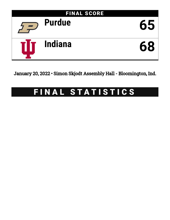

January 20, 2022 • Simon Skjodt Assembly Hall - Bloomington, Ind.

# FINAL STATISTICS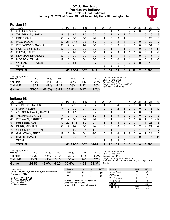# **Official Box Score Purdue vs Indiana Game Totals -- Final Statistics January 20, 2022 at Simon Skjodt Assembly Hall - Bloomington, Ind.**



# **Purdue 65**

| No. | Player                   | S  | <b>Pts</b> | FG.       | 3FG      | FТ       | OR | DR | TR             | РF            | A        | TO | Blk          | Stl          | Min | $+/-$          |
|-----|--------------------------|----|------------|-----------|----------|----------|----|----|----------------|---------------|----------|----|--------------|--------------|-----|----------------|
| 00  | GILLIS, MASON            | F  | 13         | $5-6$     | $3 - 4$  | $0 - 1$  | 3  | 4  | 7              | 2             | 2        | 2  | 0            | 0            | 29  | 2              |
| 11  | THOMPSON, ISAIAH         | G  | 8          | $3 - 7$   | $2 - 5$  | $0 - 0$  | 0  | 2  | $\overline{2}$ | 2             | 2        | 0  |              | 0            | 26  | 9              |
| 15  | EDEY, ZACH               | С  | 12         | $5-6$     | $0 - 0$  | $2 - 7$  |    | 8  | 9              | 1             | 3        |    |              | 0            | 25  | 3              |
| 23  | <b>IVEY, JADEN</b>       | G  | 21         | 7-16      | $2-6$    | $5 - 7$  | 0  | 2  | 2              | 3             |          | 2  | $\Omega$     | 0            | 32  | $\overline{7}$ |
| 55  | STEFANOVIC, SASHA        | G  |            | $3 - 10$  | $1 - 7$  | $0 - 0$  | 0  | 3  | 3              | 2             | 0        | 0  | $\mathbf 0$  | $\mathbf{0}$ | 34  | 0              |
| 02  | HUNTER JR., ERIC         | G  | $\Omega$   | $0 - 2$   | $0 - 0$  | $0 - 0$  | 0  | 1  |                | 1             | $\Omega$ | 1  | $\Omega$     | $\Omega$     | 16  | $-11$          |
| 03  | <b>FURST, CALEB</b>      | F  | 2          | $1 - 2$   | $0 - 0$  | $0 - 0$  |    | 2  | 3              |               |          | 0  | $\Omega$     | 0            | 11  | $-2$           |
| 05  | NEWMAN, BRANDON          | G  | $\Omega$   | $0 - 0$   | $0 - 0$  | $0 - 0$  | 0  | 1  |                | 3             | 0        |    | $\mathbf{0}$ | $\mathbf{0}$ | 5   | -9             |
| 25  | <b>MORTON, ETHAN</b>     | G  | 0          | $0 - 1$   | 0-1      | $0 - 0$  | 0  | 0  | 0              |               |          |    | 0            | $\Omega$     | 7   | -5             |
| 50  | <b>WILLIAMS, TREVION</b> | F. | 2          | $1 - 4$   | $0 - 0$  | $0 - 2$  | 0  | 6  | 6              | $\mathcal{P}$ | 2        | 4  | $\Omega$     | $\mathbf{0}$ | 15  | -9             |
|     | <b>TEAM</b>              |    |            |           |          |          | 3  | 2  | 5              | $\Omega$      |          | 0  |              |              |     |                |
|     | <b>TOTALS</b>            |    | 65.        | $25 - 54$ | $8 - 23$ | $7 - 17$ | 8  | 31 | 39             | 18            | $12 \,$  | 12 | 2            | 0            | 200 |                |

| <b>Shooting By Period</b><br>Period | FG        | FG%   | 3FG      | 3FG%   | FT       | FT%   | Deadball Rebounds: 4,0<br>Last FG: 2nd-01:08              |
|-------------------------------------|-----------|-------|----------|--------|----------|-------|-----------------------------------------------------------|
| 1st Half                            | $12 - 27$ | 44%   | $3 - 10$ | $30\%$ | $1-5$    | 20%   | Biggest Run: 8-0                                          |
| 2nd Half                            | $13 - 27$ | 48%   | $5-13$   | 38%    | $6-12$   | 50%   | Largest lead: By 8 at 1st-13:35<br>Technical Fouls: None. |
| Game                                | 25-54     | 46.3% | $8 - 23$ | 34.8%  | $7 - 17$ | 41.2% |                                                           |

# **Indiana 68**

| No. | Player                  | S  | Pts      | FG.      | 3FG      | FT.       | OR | DR       | TR             | PF            | A        | TO | Blk            | Stl      | Min | $+/-$ |
|-----|-------------------------|----|----------|----------|----------|-----------|----|----------|----------------|---------------|----------|----|----------------|----------|-----|-------|
| 00  | JOHNSON, XAVIER         | G  | 18       | $7 - 17$ | 2-4      | $2 - 2$   |    | 3        | 4              | 0             | 2        | 0  | 0              |          | 32  | -8    |
| 12  | <b>KOPP, MILLER</b>     | F  | 0        | $0 - 2$  | 0-1      | $0 - 0$   | 0  | 2        | $\overline{2}$ |               | 0        | 0  | $\overline{0}$ | 0        | 16  | $-12$ |
| 23  | JACKSON-DAVIS, TRAYCE   | F  | 4        | $1 - 1$  | $0 - 0$  | $2 - 4$   | 0  |          |                | 4             | 0        | 2  | 0              | 0        | 11  | -6    |
| 25  | THOMPSON, RACE          | F  | 9        | $4 - 10$ | $0 - 3$  | $1 - 2$   | 1. | 8        | 9              | $\mathcal{P}$ | $\Omega$ | 0  | $\mathbf{0}$   | $\Omega$ | 32  | -3    |
| 45  | <b>STEWART, PARKER</b>  | G  | 2        | $0 - 3$  | $0 - 2$  | $2 - 2$   | 0  |          | 1              | 2             | 1        | 0  | 0              |          | 15  | $-12$ |
| 01  | PHINISEE, ROB           | G  | 20       | $8 - 13$ | $4 - 7$  | $0 - 1$   |    | 3        | 4              | $\mathcal{P}$ | $\Omega$ | 0  |                | 4        | 26  | 15    |
| 02  | <b>DURR, MICHAEL</b>    | C  | 4        | $1 - 2$  | $0 - 0$  | $2 - 4$   | 0  | $\Omega$ | $\Omega$       | 3             | 0        | 0  | $\mathcal{P}$  | 2        | 24  | $-2$  |
| 22  | <b>GERONIMO, JORDAN</b> | F. | 3        | $1 - 2$  | $0 - 1$  | $1 - 3$   | 0  |          |                | 0             | 0        | 0  |                | 0        | 13  | 17    |
| 32  | <b>GALLOWAY, TREY</b>   | G  | 8        | $2 - 4$  | $0 - 1$  | 4-6       | 0  | 4        | 4              | 2             | 2        | 0  | 0              |          | 24  | 15    |
| 53  | <b>BATES, TAMAR</b>     | G  | $\Omega$ | $0 - 2$  | $0 - 1$  | $0 - 0$   | 0  | 0        | 0              | 0             |          | 0  | $\Omega$       | $\Omega$ |     | 11    |
|     | <b>TEAM</b>             |    |          |          |          |           | 1  | 3        | 4              | $\Omega$      |          | ◀  |                |          |     |       |
|     | <b>TOTALS</b>           |    | 68       | 24-56    | $6 - 20$ | $14 - 24$ | 4  | 26       | 30             | 16            | 6        | 3  | 4              | 9        | 200 |       |

| <b>Shooting By Period</b> |       |       |          |       |           |       |
|---------------------------|-------|-------|----------|-------|-----------|-------|
| Period                    | FG    | FG%   | 3FG      | 3FG%  | FТ        | FT%   |
| 1st Half                  | 13-29 | 45%   | $3 - 10$ | 30%   | 8-16      | 50%   |
| 2nd Half                  | 11-27 | 41%   | $3 - 10$ | 30%   | 6-8       | 75%   |
| Game                      | 24-56 | 42.9% | $6 - 20$ | 30.0% | $14 - 24$ | 58.3% |

*Deadball Rebounds:* 7,1 *Last FG:* 2nd-00:17 *Biggest Run:* 14-0 *Largest lead:* By 11 at 1st-01:19 *Technical Fouls:* #25 THOMPSON (Class A) @ 2nd - 13:56;

| Game Notes:                                                              | <b>Score</b>                             | 1st | 2 <sub>nd</sub> | тот               | <b>Points</b> | <b>PUR</b>     | <b>IND</b>     |
|--------------------------------------------------------------------------|------------------------------------------|-----|-----------------|-------------------|---------------|----------------|----------------|
| Officials: Paul Szelc, Keith Kimble, Courtney Green<br>Attendance: 17222 | <b>PUR</b>                               | 28  | 37              | 65                | In the Paint  | 28             | 30             |
|                                                                          | <b>IND</b>                               | 37  | 31              | 68                | Off Turns     |                | 15             |
| Start Time: 07:15 PM ET                                                  |                                          |     |                 |                   | 2nd Chance    | 10             |                |
| End Time: 09:27 PM ET<br>Game Duration: 2:12                             | PUR led for 14:05. IND led for 22:08.    |     |                 | <b>Fast Break</b> |               | 19             |                |
| Conference Game:                                                         | Game was tied for 3:48.<br>Times tied: 2 |     | Lead Changes: 3 |                   | Bench         |                | 35             |
|                                                                          |                                          |     |                 |                   | Per Poss      | 0.985<br>29/66 | 1.063<br>32/64 |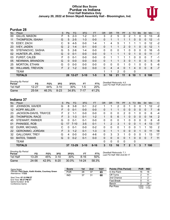# **Official Box Score Purdue vs Indiana First Half Statistics Only January 20, 2022 at Simon Skjodt Assembly Hall - Bloomington, Ind.**



# **Purdue 28**

| No. | Plaver                   | S  | <b>Pts</b>    | FG       | 3FG      | <b>FT</b> | <b>OR</b> | DR | TR | <b>PF</b>     | A | TO | <b>Blk</b>   | Stl          | Min | $+/-$ |
|-----|--------------------------|----|---------------|----------|----------|-----------|-----------|----|----|---------------|---|----|--------------|--------------|-----|-------|
| 00  | GILLIS, MASON            | F  | 5             | $2 - 3$  | $1 - 2$  | $0 - 1$   | 3         | 2  | 5  | 0             | 2 |    | 0            | 0            | 13  | -8    |
| 11  | THOMPSON, ISAIAH         | G  | 5             | $2 - 5$  | $1 - 3$  | $0 - 0$   | 0         | 1  |    |               |   | 0  | $\mathbf{0}$ | 0            | 12  | -1    |
| 15  | EDEY, ZACH               | С  | 9             | $4 - 5$  | $0 - 0$  | $1 - 4$   | 1         | 4  | 5  |               |   |    |              | 0            | 12  | $-2$  |
| 23  | <b>IVEY, JADEN</b>       | G  | $\mathcal{P}$ | $1 - 4$  | $0 - 1$  | $0 - 0$   | 0         | 1  |    | $\mathcal{P}$ | 0 |    | $\Omega$     | $\mathbf{0}$ | 12  | 1     |
| 55  | STEFANOVIC, SASHA        | G  | 5             | $2-6$    | $1 - 4$  | $0 - 0$   | 0         | 0  | 0  | 1.            | 0 | 0  | $\mathbf 0$  | 0            | 16  | -5    |
| 02  | <b>HUNTER JR., ERIC</b>  | G  | $\Omega$      | $0 - 1$  | $0 - 0$  | $0 - 0$   | 0         | 1  |    |               | 0 |    | $\Omega$     | 0            | 11  | $-7$  |
| 03  | <b>FURST, CALEB</b>      | F  | 0             | $0 - 1$  | $0 - 0$  | $0 - 0$   | 0         | 1  |    |               |   | 0  | $\mathbf 0$  | 0            | 7   | -1    |
| 05  | NEWMAN, BRANDON          | G  | $\Omega$      | $0 - 0$  | $0 - 0$  | $0 - 0$   | 0         | 1  |    | 3             | 0 |    | 0            | $\mathbf{0}$ | 5   | $-9$  |
| 25  | <b>MORTON, ETHAN</b>     | G  | 0             | $0 - 0$  | $0 - 0$  | $0-0$     | 0         | 0  | 0  | 1             | 0 |    | $\Omega$     | $\Omega$     | 5   | -6    |
| 50  | <b>WILLIAMS, TREVION</b> | F. | $\mathcal{P}$ | $1 - 2$  | $0 - 0$  | $0 - 0$   | 0         | 4  | 4  | $\Omega$      |   | 4  | $\Omega$     | $\Omega$     | 8   | $-7$  |
|     | <b>TEAM</b>              |    |               |          |          |           |           | 1  | 2  | $\Omega$      |   | 0  |              |              |     |       |
|     | <b>TOTALS</b>            |    |               | 28 12-27 | $3 - 10$ | $1 - 5$   | 5         | 16 | 21 | 11            | 6 | 10 |              | 0            | 100 |       |
|     |                          |    |               |          |          |           |           |    |    |               |   |    |              |              |     |       |

| <b>Shooting By Period</b><br>Period | FG        | FG%   | 3FG      | 3FG%  | FT      | FT%        | Deadball Rebounds: 4,0<br>Last FG Half: PUR 2nd-01:08 |
|-------------------------------------|-----------|-------|----------|-------|---------|------------|-------------------------------------------------------|
| 1st Half                            | $12 - 27$ | 44%   | $3 - 10$ | 30%   | $1 - 5$ | <b>20%</b> |                                                       |
| Game                                | 25-54     | 46.3% | $8-23$   | 34.8% | 7-17    | 41.2%      |                                                       |

# **Indiana 37**

| No. | Plaver                  | S  | <b>Pts</b>    | FG        | 3FG      | <b>FT</b> | <b>OR</b>   | <b>DR</b> | TR       | PF | A              | TO | <b>B</b> lk    | Stl      | Min | $+/-$ |
|-----|-------------------------|----|---------------|-----------|----------|-----------|-------------|-----------|----------|----|----------------|----|----------------|----------|-----|-------|
| 00  | <b>JOHNSON, XAVIER</b>  | G  | 8             | $3 - 8$   | $0 - 1$  | $2 - 2$   |             |           | 2        |    |                | 0  | 0              |          | 12  | $-2$  |
| 12  | KOPP, MILLER            | F. | 0             | $0 - 1$   | $0 - 0$  | $0 - 0$   | 0           |           |          | 0  | 0              | 0  | $\overline{0}$ | 0        |     | -8    |
| 23  | JACKSON-DAVIS, TRAYCE   | F  | $\mathcal{P}$ | 1-1       | $0 - 0$  | $0-0$     | 0           | 0         | 0        | 2  | 0              |    | 0              | O        | 6   | -4    |
| 25  | THOMPSON, RACE          | F. | 3             | $1 - 3$   | $0 - 1$  | $1 - 2$   | $\mathbf 1$ | 5         | 6        |    | $\Omega$       | 0  | $\mathbf{0}$   | $\Omega$ | 14  | 2     |
| 45  | STEWART, PARKER         | G  | 0             | $0 - 1$   | $0 - 1$  | $0 - 0$   | $\Omega$    | 0         | 0        |    | 0              | 0  | 0              | 0        | 8   | -8    |
| 01  | PHINISEE, ROB           | G  | 17            | $7 - 10$  | $3 - 5$  | $0 - 1$   | 1           | 2         | 3        |    | $\Omega$       | 0  |                | 4        | 13  | 17    |
| 02  | DURR, MICHAEL           | C  | 0             | $0 - 1$   | $0 - 0$  | $0 - 2$   | 0           | 0         | $\Omega$ |    | 0              | 0  |                |          | 10  | 2     |
| 22  | <b>GERONIMO, JORDAN</b> | F. | 3             | $1 - 2$   | $0 - 1$  | $1 - 3$   | 0           |           |          | 0  | 0              | 0  |                | 0        | 11  | 18    |
| 32  | <b>GALLOWAY, TREY</b>   | G  | 4             | $0 - 0$   | $0 - 0$  | $4-6$     | 0           | 3         | 3        |    | 0              | 0  | 0              |          | 13  | 17    |
| 53  | <b>BATES, TAMAR</b>     | G  | 0             | $0 - 2$   | $0 - 1$  | $0 - 0$   | 0           | 0         | 0        | 0  | 1              | 0  | $\Omega$       | 0        |     | 11    |
|     | TEAM                    |    |               |           |          |           | $\Omega$    | 0         | 0        | 0  |                | 0  |                |          |     |       |
|     | <b>TOTALS</b>           |    | 37            | $13 - 29$ | $3 - 10$ | $8 - 16$  | 3           | 13        | 16       | 7  | $\overline{2}$ | 1  | 3              |          | 100 |       |

| <b>Shooting By Period</b><br>Period | FG        | FG%   | 3FG      | 3FG%  | FТ        | FT%   |
|-------------------------------------|-----------|-------|----------|-------|-----------|-------|
| 1st Half                            | 13-29     | 45%   | $3 - 10$ | 30%   | 8-16      | 50%   |
| Game                                | $24 - 56$ | 42.9% | $6-20$   | 30.0% | $14 - 24$ | 58.3% |

*Deadball Rebounds:* 7,1 *Last FG Half:* IND 2nd-00:17

| Game Notes:                                                              | <b>Score</b> | 1st | 2 <sub>nd</sub> | TOT | <b>Points (This Period)</b> | <b>PUR</b>     | <b>IND</b>     |
|--------------------------------------------------------------------------|--------------|-----|-----------------|-----|-----------------------------|----------------|----------------|
| Officials: Paul Szelc, Keith Kimble, Courtney Green<br>Attendance: 17222 | <b>PUR</b>   | 28  | 37              | 65  | In the Paint                |                | 18             |
|                                                                          | <b>IND</b>   | 37  | 31              | 68  | Off Turns                   |                |                |
| Start Time: 07:15 PM ET                                                  |              |     |                 |     | 2nd Chance                  |                |                |
| End Time: 09:27 PM ET<br>Game Duration: 2:12                             |              |     |                 |     | <b>Fast Break</b>           |                |                |
| Conference Game:                                                         |              |     |                 |     | Bench                       |                | 24             |
|                                                                          |              |     |                 |     | Per Poss                    | 0.824<br>13/34 | 1.121<br>17/33 |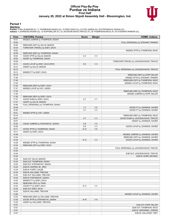## **Official Play-By-Play Purdue vs Indiana First Half January 20, 2022 at Simon Skjodt Assembly Hall - Bloomington, Ind.**



## **Period 1**

<mark>Startersː</mark><br>Purdue: 0 GILLIS,MASON (F); 11 THOMPSON,ISAIAH (G); 15 EDEY,ZACH (C); 23 IVEY,JADEN (G); 55 STEFANOVIC,SASHA (G);<br>Indiana: 0 JOHNSON,XAVIER (G); 12 KOPP,MILLER (F); 23 JACKSON-DAVIS,TRAYCE (F); 25 THOMPSON,RACE

| Time           | <b>VISITORS: Purdue</b>                                   | <b>Score</b> | <b>Margin</b>  | <b>HOME: Indiana</b>                       |
|----------------|-----------------------------------------------------------|--------------|----------------|--------------------------------------------|
| 19:31          | MISSED JUMPER by THOMPSON, ISAIAH                         |              |                |                                            |
| 19:30          |                                                           |              |                | FOUL (PERSONAL) by STEWART, PARKER         |
| 19:30          | REBOUND (OFF) by GILLIS, MASON                            |              |                |                                            |
| 19:24          | TURNOVER (TRAVEL) by EDEY, ZACH                           |              |                |                                            |
| 19:02          |                                                           |              |                | MISSED 3PTR by THOMPSON, RACE              |
| 18:59          | REBOUND (DEF) by THOMPSON, ISAIAH                         |              | $V_3$          |                                            |
| 18:52<br>18:52 | GOOD! 3PTR by GILLIS, MASON<br>ASSIST by THOMPSON, ISAIAH | $0 - 3$      |                |                                            |
| 18:29          |                                                           |              |                | TURNOVER (TRAVEL) by JACKSON-DAVIS, TRAYCE |
| 18:12          | GOOD! LAYUP by EDEY, ZACH [PNT]                           | $0-5$        | V <sub>5</sub> |                                            |
| 18:12          | ASSIST by GILLIS, MASON                                   |              |                |                                            |
| 18:12          |                                                           |              |                | FOUL (PERSONAL) by JACKSON-DAVIS, TRAYCE   |
| 18:12          | MISSED FT by EDEY, ZACH                                   |              |                |                                            |
| 18:10          |                                                           |              |                | REBOUND (DEF) by KOPP, MILLER              |
| 17:48          |                                                           |              |                | MISSED 3PTR by STEWART, PARKER             |
| 17:45          |                                                           |              |                | REBOUND (OFF) by THOMPSON, RACE            |
| 17:45          |                                                           |              |                | MISSED LAYUP by THOMPSON, RACE             |
| 17:42          | REBOUND (DEF) by EDEY, ZACH                               |              |                |                                            |
| 17:37          | MISSED LAYUP by IVEY, JADEN                               |              |                |                                            |
| 17:34          |                                                           |              |                | REBOUND (DEF) by THOMPSON, RACE            |
| 17:29          |                                                           |              |                | MISSED JUMPER by KOPP, MILLER              |
| 17:26<br>17:07 | REBOUND (DEF) by EDEY, ZACH<br>GOOD! DUNK by EDEY, ZACH   | $0 - 7$      | V <sub>7</sub> |                                            |
| 17:07          | ASSIST by GILLIS, MASON                                   |              |                |                                            |
| 16:49          | FOUL (PERSONAL) by THOMPSON, ISAIAH                       |              |                |                                            |
| 16:49          |                                                           | $1 - 7$      | $V_6$          | GOOD! FT by JOHNSON, XAVIER                |
| 16:49          |                                                           | $2 - 7$      | V <sub>5</sub> | GOOD! FT by JOHNSON, XAVIER                |
| 16:21          | MISSED 3PTR by IVEY, JADEN                                |              |                |                                            |
| 16:16          |                                                           |              |                | REBOUND (DEF) by THOMPSON, RACE            |
| 16:07          |                                                           | $4 - 7$      | V <sub>3</sub> | GOOD! DUNK by JACKSON-DAVIS, TRAYCE        |
| 16:07          |                                                           |              |                | ASSIST by JOHNSON, XAVIER                  |
| 15:45          | GOOD! JUMPER by STEFANOVIC, SASHA                         | $4 - 9$      | V <sub>5</sub> |                                            |
| 15:28          |                                                           | $6-9$        | $V_3$          | GOOD! LAYUP by JOHNSON, XAVIER             |
| 15:11          | GOOD! 3PTR by THOMPSON, ISAIAH                            | $6 - 12$     | $V_6$          |                                            |
| 15:11          | ASSIST by EDEY, ZACH                                      |              |                |                                            |
| 14:49          |                                                           |              |                | MISSED JUMPER by JOHNSON, XAVIER           |
| 14:44          |                                                           |              |                | REBOUND (OFF) by JOHNSON, XAVIER           |
| 14:44<br>14:28 | MISSED 3PTR by THOMPSON, ISAIAH                           | $8 - 12$     | V <sub>4</sub> | GOOD! LAYUP by JOHNSON, XAVIER             |
| 14:24          | REBOUND (OFF) by EDEY, ZACH                               |              |                |                                            |
| 14:24          |                                                           |              |                | FOUL (PERSONAL) by JACKSON-DAVIS, TRAYCE   |
| 14:24          |                                                           |              |                |                                            |
| 14:24          |                                                           |              |                | SUB OUT: JACKSON-DAVIS, TRAYCE             |
| 14:24          |                                                           |              |                | SUB IN: DURR, MICHAEL                      |
| 14:24          | SUB OUT: GILLIS, MASON                                    |              |                |                                            |
| 14:24          | SUB OUT: THOMPSON, ISAIAH                                 |              |                |                                            |
| 14:24          | SUB OUT: STEFANOVIC, SASHA                                |              |                |                                            |
| 14:24          | SUB IN: HUNTER JR., ERIC                                  |              |                |                                            |
| 14:24          | SUB IN: FURST, CALEB                                      |              |                |                                            |
| 14:24          | SUB IN: WILLIAMS, TREVION                                 |              |                |                                            |
| 14:24          | SUB OUT: WILLIAMS, TREVION                                |              |                |                                            |
| 14:24          | SUB IN: STEFANOVIC, SASHA                                 |              |                |                                            |
| 14:24          | MISSED FT by EDEY, ZACH                                   |              |                |                                            |
| 14:24          | REBOUND (OFF) by TEAM                                     |              |                |                                            |
| 14:24<br>14:24 | GOOD! FT by EDEY, ZACH<br>SUB OUT: EDEY, ZACH             | $8 - 13$     | V <sub>5</sub> |                                            |
| 14:24          | SUB IN: WILLIAMS, TREVION                                 |              |                |                                            |
| 13:56          |                                                           |              |                | MISSED LAYUP by JOHNSON, XAVIER            |
| 13:53          | REBOUND (DEF) by WILLIAMS, TREVION                        |              |                |                                            |
| 13:35          | GOOD! 3PTR by STEFANOVIC, SASHA                           | $8 - 16$     | V8             |                                            |
| 13:35          | ASSIST by WILLIAMS, TREVION                               |              |                |                                            |
| 13:07          |                                                           |              |                | SUB OUT: KOPP, MILLER                      |
| 13:07          |                                                           |              |                | SUB OUT: THOMPSON, RACE                    |
| 13:07          |                                                           |              |                | SUB IN: GERONIMO, JORDAN                   |
| 13:07          |                                                           |              |                | SUB IN: GALLOWAY, TREY                     |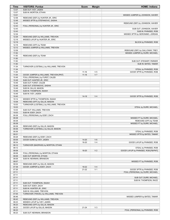| Time           | <b>VISITORS: Purdue</b>                                               | <b>Score</b> | <b>Margin</b>  | <b>HOME: Indiana</b>                             |
|----------------|-----------------------------------------------------------------------|--------------|----------------|--------------------------------------------------|
| 13:07          | SUB OUT: IVEY, JADEN                                                  |              |                |                                                  |
| 13:07          | SUB IN: MORTON, ETHAN                                                 |              |                |                                                  |
| 13:01<br>12:58 |                                                                       |              |                | MISSED JUMPER by JOHNSON, XAVIER                 |
| 12:49          | REBOUND (DEF) by HUNTER JR., ERIC<br>MISSED 3PTR by STEFANOVIC, SASHA |              |                |                                                  |
| 12:45          |                                                                       |              |                | REBOUND (DEF) by JOHNSON, XAVIER                 |
| 12:43          | FOUL (PERSONAL) by HUNTER JR., ERIC                                   |              |                |                                                  |
| 12:43          |                                                                       |              |                | SUB OUT: JOHNSON, XAVIER                         |
| 12:43          |                                                                       |              |                | SUB IN: PHINISEE, ROB                            |
| 12:34          |                                                                       |              |                | MISSED 3PTR by GERONIMO, JORDAN                  |
| 12:29          | REBOUND (DEF) by WILLIAMS, TREVION                                    |              |                |                                                  |
| 12:19<br>12:19 | MISSED LAYUP by HUNTER JR., ERIC                                      |              |                | <b>BLOCK by PHINISEE, ROB</b>                    |
| 12:19          | REBOUND (OFF) by TEAM                                                 |              |                |                                                  |
| 12:12          | MISSED JUMPER by WILLIAMS, TREVION                                    |              |                |                                                  |
| 12:09          |                                                                       |              |                | REBOUND (DEF) by GALLOWAY, TREY                  |
| 11:52          |                                                                       |              |                | MISSED JUMPER by DURR, MICHAEL                   |
| 11:50          | REBOUND (DEF) by TEAM                                                 |              |                |                                                  |
| 11:50          |                                                                       |              |                |                                                  |
| 11:50<br>11:50 |                                                                       |              |                | SUB OUT: STEWART, PARKER<br>SUB IN: BATES, TAMAR |
| 11:34          | TURNOVER (LOSTBALL) by WILLIAMS, TREVION                              |              |                |                                                  |
| 11:34          |                                                                       |              |                | STEAL by PHINISEE, ROB                           |
| 11:25          |                                                                       | $11 - 16$    | V <sub>5</sub> | GOOD! 3PTR by PHINISEE, ROB                      |
| 11:04          | GOOD! JUMPER by WILLIAMS, TREVION [PNT]                               | $11 - 18$    | V <sub>7</sub> |                                                  |
| 10:49          | FOUL (PERSONAL) by FURST, CALEB                                       |              |                |                                                  |
| 10:49          | SUB OUT: HUNTER JR., ERIC                                             |              |                |                                                  |
| 10:49          | SUB OUT: FURST, CALEB                                                 |              |                |                                                  |
| 10:49<br>10:49 | SUB OUT: STEFANOVIC, SASHA<br>SUB IN: GILLIS, MASON                   |              |                |                                                  |
| 10:49          | SUB IN: THOMPSON, ISAIAH                                              |              |                |                                                  |
| 10:49          | SUB IN: IVEY, JADEN                                                   |              |                |                                                  |
| 10:43          |                                                                       | $14 - 18$    | V <sub>4</sub> | GOOD! 3PTR by PHINISEE, ROB                      |
| 10:14          | MISSED 3PTR by THOMPSON, ISAIAH                                       |              |                |                                                  |
| 10:08          | REBOUND (OFF) by GILLIS, MASON                                        |              |                |                                                  |
| 10:03          | TURNOVER (LOSTBALL) by WILLIAMS, TREVION                              |              |                |                                                  |
| 10:03<br>10:03 | SUB OUT: WILLIAMS, TREVION                                            |              |                | STEAL by DURR, MICHAEL                           |
| 10:03          | SUB IN: EDEY, ZACH                                                    |              |                |                                                  |
| 09:38          | FOUL (PERSONAL) by EDEY, ZACH                                         |              |                |                                                  |
| 09:38          |                                                                       |              |                | MISSED FT by DURR, MICHAEL                       |
| 09:38          |                                                                       |              |                | REBOUND (OFF) by TEAM                            |
| 09:38          |                                                                       |              |                | MISSED FT by DURR, MICHAEL                       |
| 09:38          | REBOUND (DEF) by GILLIS, MASON                                        |              |                |                                                  |
| 09:36<br>09:36 | TURNOVER (LOSTBALL) by GILLIS, MASON                                  |              |                | STEAL by PHINISEE, ROB                           |
| 09:31          |                                                                       |              |                | MISSED 3PTR by BATES, TAMAR                      |
| 09:28          | REBOUND (DEF) by EDEY, ZACH                                           |              |                |                                                  |
| 09:09          | GOOD! DUNK by IVEY, JADEN                                             | $14 - 20$    | $V_6$          |                                                  |
| 08:34          |                                                                       | 16-20        | V <sub>4</sub> | GOOD! LAYUP by PHINISEE, ROB                     |
| 08:12          | TURNOVER (BADPASS) by MORTON, ETHAN                                   |              |                |                                                  |
| 08:12          |                                                                       |              |                | STEAL by PHINISEE, ROB                           |
| 08:08<br>08:08 | FOUL (PERSONAL) by MORTON, ETHAN                                      | 18-20        | V <sub>2</sub> | GOOD! LAYUP by PHINISEE, ROB [FB/PNT]            |
| 08:08          | SUB OUT: MORTON, ETHAN                                                |              |                |                                                  |
| 08:08          | SUB IN: NEWMAN, BRANDON                                               |              |                |                                                  |
| 08:07          |                                                                       |              |                | MISSED FT by PHINISEE, ROB                       |
| 08:04          | REBOUND (DEF) by GILLIS, MASON                                        |              |                |                                                  |
| 07:38          | GOOD! JUMPER by EDEY, ZACH                                            | 18-22        | V <sub>4</sub> |                                                  |
| 07:26          |                                                                       | 21-22        | V <sub>1</sub> | GOOD! 3PTR by PHINISEE, ROB                      |
| 07:11          |                                                                       |              |                | FOUL (PERSONAL) by DURR, MICHAEL                 |
| 07:11<br>07:11 |                                                                       |              |                | SUB OUT: DURR, MICHAEL                           |
| 07:11          |                                                                       |              |                | SUB IN: THOMPSON, RACE                           |
| 07:11          | SUB OUT: THOMPSON, ISAIAH                                             |              |                |                                                  |
| 07:11          | SUB OUT: EDEY, ZACH                                                   |              |                |                                                  |
| 07:11          | SUB IN: HUNTER JR., ERIC                                              |              |                |                                                  |
| 07:11          | SUB IN: WILLIAMS, TREVION                                             |              |                |                                                  |
| 07:05          | TURNOVER (TRAVEL) by WILLIAMS, TREVION                                |              |                |                                                  |
| 06:46          |                                                                       |              |                | MISSED JUMPER by BATES, TAMAR                    |
| 06:43<br>06:23 | REBOUND (DEF) by WILLIAMS, TREVION<br>MISSED LAYUP by IVEY, JADEN     |              |                |                                                  |
| 06:23          | REBOUND (OFF) by GILLIS, MASON                                        |              |                |                                                  |
| 06:23          | GOOD! LAYUP by GILLIS, MASON                                          | $21 - 24$    | $V_3$          |                                                  |
| 06:23          |                                                                       |              |                | FOUL (PERSONAL) by PHINISEE, ROB                 |
| 06:23          | SUB OUT: NEWMAN, BRANDON                                              |              |                |                                                  |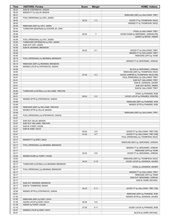| Time           | <b>VISITORS: Purdue</b>                  | <b>Score</b> | <b>Margin</b>  | <b>HOME: Indiana</b>                                          |
|----------------|------------------------------------------|--------------|----------------|---------------------------------------------------------------|
| 06:23          | SUB IN: STEFANOVIC, SASHA                |              |                |                                                               |
| 06:23          | MISSED FT by GILLIS, MASON               |              |                |                                                               |
| 06:21          |                                          |              |                | REBOUND (DEF) by GALLOWAY, TREY                               |
| 06:02          | FOUL (PERSONAL) by IVEY, JADEN           |              |                |                                                               |
| 06:02          |                                          | $22 - 24$    | V <sub>2</sub> | GOOD! FT by THOMPSON, RACE                                    |
| 06:02          |                                          |              |                | MISSED FT by THOMPSON, RACE                                   |
| 05:59          | REBOUND (DEF) by IVEY, JADEN             |              |                |                                                               |
| 05:44<br>05:44 | TURNOVER (BADPASS) by HUNTER JR., ERIC   |              |                |                                                               |
| 05:38          |                                          | 24-24        | $\mathsf T$    | STEAL by GALLOWAY, TREY                                       |
| 05:38          |                                          |              |                | GOOD! DUNK by GERONIMO, JORDAN [FB]<br>ASSIST by BATES, TAMAR |
| 05:26          | FOUL (PERSONAL) by IVEY, JADEN           |              |                |                                                               |
| 05:26          | TURNOVER (OFFENSIVE) by IVEY, JADEN      |              |                |                                                               |
| 05:26          | SUB OUT: IVEY, JADEN                     |              |                |                                                               |
| 05:26          | SUB IN: NEWMAN, BRANDON                  |              |                |                                                               |
| 05:26          |                                          | 25-24        | H <sub>1</sub> | GOOD! FT by GALLOWAY, TREY                                    |
| 05:26          |                                          |              |                | MISSED FT by GALLOWAY, TREY                                   |
| 05:26          |                                          |              |                | REBOUND (OFF) by TEAM                                         |
| 05:15          | FOUL (PERSONAL) by NEWMAN, BRANDON       |              |                |                                                               |
| 05:15          |                                          |              |                | MISSED FT by GERONIMO, JORDAN                                 |
| 05:13          | REBOUND (DEF) by NEWMAN, BRANDON         |              |                |                                                               |
| 04:59          | MISSED LAYUP by STEFANOVIC, SASHA        |              |                |                                                               |
| 04:59          |                                          |              |                | BLOCK by GERONIMO, JORDAN                                     |
| 04:55          |                                          |              |                | REBOUND (DEF) by THOMPSON, RACE                               |
| 04:53          |                                          | $27 - 24$    | $H_3$          | GOOD! JUMPER by THOMPSON, RACE [FB]                           |
| 04:41          |                                          |              |                | FOUL (PERSONAL) by GALLOWAY, TREY                             |
| 04:41          |                                          |              |                | SUB OUT: GALLOWAY, TREY                                       |
| 04:41          |                                          |              |                | SUB IN: JOHNSON, XAVIER                                       |
| 04:41<br>04:41 |                                          |              |                | SUB OUT: BATES, TAMAR<br>SUB IN: GALLOWAY, TREY               |
| 04:26          | TURNOVER (LOSTBALL) by WILLIAMS, TREVION |              |                |                                                               |
| 04:26          |                                          |              |                | STEAL by PHINISEE, ROB                                        |
| 04:21          |                                          | 29-24        | H <sub>5</sub> | GOOD! LAYUP by PHINISEE, ROB [FB]                             |
| 04:02          | MISSED 3PTR by STEFANOVIC, SASHA         |              |                |                                                               |
| 03:58          |                                          |              |                | REBOUND (DEF) by PHINISEE, ROB                                |
| 03:49          |                                          |              |                | MISSED 3PTR by PHINISEE, ROB                                  |
| 03:46          | REBOUND (DEF) by WILLIAMS, TREVION       |              |                |                                                               |
| 03:32          | MISSED 3PTR by GILLIS, MASON             |              |                |                                                               |
| 03:28          |                                          |              |                | REBOUND (DEF) by GALLOWAY, TREY                               |
| 03:27          | FOUL (PERSONAL) by STEFANOVIC, SASHA     |              |                |                                                               |
| 03:27          |                                          |              |                |                                                               |
| 03:27          | SUB OUT: GILLIS, MASON                   |              |                |                                                               |
| 03:27          | SUB OUT: WILLIAMS, TREVION               |              |                |                                                               |
| 03:27          | SUB IN: FURST, CALEB                     |              |                |                                                               |
| 03:27          | SUB IN: EDEY, ZACH                       |              |                |                                                               |
| 03:27          |                                          | $30 - 24$    | H <sub>6</sub> | GOOD! FT by GALLOWAY, TREY [FB]                               |
| 03:27          |                                          | $31 - 24$    | H 7            | GOOD! FT by GALLOWAY, TREY [FB]                               |
| 03:18          |                                          |              |                | FOUL (PERSONAL) by THOMPSON, RACE                             |
| 03:17<br>03:17 | MISSED FT by EDEY, ZACH                  |              |                | REBOUND (DEF) by GERONIMO, JORDAN                             |
| 03:17          | FOUL (PERSONAL) by NEWMAN, BRANDON       |              |                |                                                               |
| 03:17          |                                          |              |                | MISSED FT by GERONIMO, JORDAN                                 |
| 03:17          |                                          |              |                | REBOUND (OFF) by TEAM                                         |
| 03:17          |                                          | 32-24        | H <sub>8</sub> | GOOD! FT by GERONIMO, JORDAN                                  |
| 03:04          | MISSED DUNK by FURST, CALEB              |              |                |                                                               |
| 03:00          |                                          |              |                | REBOUND (DEF) by THOMPSON, RACE                               |
| 02:43          |                                          | 34-24        | H 10           | GOOD! LAYUP by JOHNSON, XAVIER                                |
| 02:17          | TURNOVER (LOSTBALL) by NEWMAN, BRANDON   |              |                |                                                               |
| 02:17          |                                          |              |                | STEAL by JOHNSON, XAVIER                                      |
| 02:17          | FOUL (PERSONAL) by NEWMAN, BRANDON       |              |                |                                                               |
| 02:17          |                                          |              |                | MISSED FT by GALLOWAY, TREY                                   |
| 02:17          |                                          |              |                | REBOUND (OFF) by TEAM                                         |
| 02:17          |                                          |              |                | SUB OUT: GERONIMO, JORDAN                                     |
| 02:17          |                                          |              |                | SUB IN: DURR, MICHAEL                                         |
| 02:17          | SUB OUT: NEWMAN, BRANDON                 |              |                |                                                               |
| 02:17          | SUB IN: THOMPSON, ISAIAH                 |              |                |                                                               |
| 02:17          |                                          | 35-24        | H 11           | GOOD! FT by GALLOWAY, TREY [FB]                               |
| 02:06          | MISSED 3PTR by STEFANOVIC, SASHA         |              |                |                                                               |
| 02:01          |                                          |              |                | REBOUND (DEF) by PHINISEE, ROB                                |
| 01:55          |                                          |              |                | MISSED 3PTR by JOHNSON, XAVIER                                |
| 01:52          | REBOUND (DEF) by EDEY, ZACH              |              |                |                                                               |
| 01:39          | GOOD! LAYUP by EDEY, ZACH                | 35-26        | H <sub>9</sub> |                                                               |
| 01:39<br>01:19 | ASSIST by FURST, CALEB                   | 37-26        | H 11           | GOOD! LAYUP by PHINISEE, ROB                                  |
| 00:47          | MISSED LAYUP by EDEY, ZACH               |              |                |                                                               |
| 00:47          |                                          |              |                | BLOCK by DURR, MICHAEL                                        |
|                |                                          |              |                |                                                               |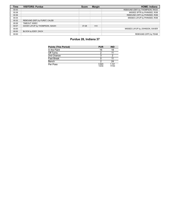| <b>Time</b> | <b>VISITORS: Purdue</b>         | <b>Score</b> | <b>Margin</b> | <b>HOME: Indiana</b>            |
|-------------|---------------------------------|--------------|---------------|---------------------------------|
| 00:43       |                                 |              |               | REBOUND (DEF) by THOMPSON, RACE |
| 00:38       |                                 |              |               | MISSED 3PTR by PHINISEE, ROB    |
| 00:36       |                                 |              |               | REBOUND (OFF) by PHINISEE, ROB  |
| 00:34       |                                 |              |               | MISSED LAYUP by PHINISEE, ROB   |
| 00:32       | REBOUND (DEF) by FURST, CALEB   |              |               |                                 |
| 00:26       | TIMEOUT 30SEC                   |              |               |                                 |
| 00:07       | GOOD! LAYUP by THOMPSON, ISAIAH | $37 - 28$    | H9            |                                 |
| 00:00       |                                 |              |               | MISSED LAYUP by JOHNSON, XAVIER |
| 00:00       | BLOCK by EDEY, ZACH             |              |               |                                 |
| 00:00       |                                 |              |               | REBOUND (OFF) by TEAM           |

# **Purdue 28, Indiana 37**

| <b>Points (This Period)</b> | <b>PUR</b>     | <b>IND</b>       |
|-----------------------------|----------------|------------------|
| In the Paint                | 16             | 18               |
| Off Turns                   | 2              | 11               |
| 2nd Chance                  | 3              | ◠                |
| <b>Fast Break</b>           |                | 11               |
| Bench                       | າ              | 24               |
| Per Poss                    | 0.824<br>13/34 | 1 1 2 1<br>17/33 |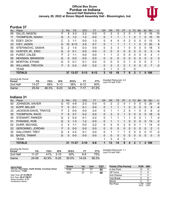# **Official Box Score Purdue vs Indiana Second Half Statistics Only January 20, 2022 at Simon Skjodt Assembly Hall - Bloomington, Ind.**



# **Purdue 37**

| No. | Player                   | S  | <b>Pts</b> | FG        | 3FG      | <b>FT</b> | <b>OR</b>   | <b>DR</b> | TR             | PF             | A | TO           | <b>B</b> lk | Stl          | Min            | $+/-$ |
|-----|--------------------------|----|------------|-----------|----------|-----------|-------------|-----------|----------------|----------------|---|--------------|-------------|--------------|----------------|-------|
| 00  | GILLIS, MASON            | F. | 8          | $3 - 3$   | 2-2      | $0-0$     | 0           | 2         | 2              | 2              | 0 |              |             | 0            | 16             | 10    |
| 11  | THOMPSON, ISAIAH         | G  | 3          | $1 - 2$   | $1 - 2$  | $0 - 0$   | 0           | 1         | 1              | 1              |   | 0            |             | 0            | 15             | 10    |
| 15  | EDEY, ZACH               | C  | 3          | 1-1       | $0 - 0$  | $1 - 3$   | 0           | 4         | 4              | $\Omega$       | 2 | 0            | 0           | 0            | 13             | 5     |
| 23  | <b>IVEY, JADEN</b>       | G  | 19         | $6 - 12$  | $2 - 5$  | $5 - 7$   | 0           | 1         |                |                |   | 1            | $\Omega$    | 0            | 20             | 6     |
| 55  | STEFANOVIC, SASHA        | G  | 2          | 1-4       | $0 - 3$  | $0 - 0$   | 0           | 3         | 3              |                | 0 | 0            | $\Omega$    | 0            | 18             | 5     |
| 02  | HUNTER JR., ERIC         | G  | $\Omega$   | $0 - 1$   | $0 - 0$  | $0 - 0$   | 0           | $\Omega$  | $\Omega$       | 0              | 0 | 0            | $\Omega$    | $\Omega$     | 5              | $-4$  |
| 03  | <b>FURST, CALEB</b>      | F. | 2          | $1 - 1$   | $0 - 0$  | $0 - 0$   | $\mathbf 1$ | 1         | 2              | $\Omega$       | 0 | 0            | $\Omega$    | 0            | 4              | -1    |
| 05  | NEWMAN, BRANDON          | G  | 0          | $0 - 0$   | $0 - 0$  | $0 - 0$   | 0           | $\Omega$  | $\Omega$       | 0              | 0 | 0            | $\Omega$    | $\Omega$     | $\Omega$       | 0     |
| 25  | <b>MORTON, ETHAN</b>     | G  | $\Omega$   | $0 - 1$   | $0 - 1$  | $0 - 0$   | 0           | $\Omega$  | 0              | $\Omega$       |   | 0            | $\Omega$    | 0            | $\overline{2}$ | 1     |
| 50  | <b>WILLIAMS, TREVION</b> | F. | $\Omega$   | $0 - 2$   | $0 - 0$  | $0 - 2$   | 0           | 2         | $\overline{2}$ | $\overline{2}$ |   | 0            | $\Omega$    | $\mathbf{0}$ | 7              | $-2$  |
|     | TEAM                     |    |            |           |          |           | 2           | 1         | 3              | 0              |   | 0            |             |              |                |       |
|     | <b>TOTALS</b>            |    | 37         | $13 - 27$ | $5 - 13$ | $6 - 12$  | 3           | 15        | 18             | 7              | 6 | $\mathbf{2}$ |             | $\bf{0}$     | 100            |       |
|     |                          |    |            |           |          |           |             |           |                |                |   |              |             |              |                |       |

| <b>Shooting By Period</b><br>Period | FG    | FG%   | 3FG      | 3FG%  |      | FT%   | Deadball Rebounds: 4,0<br>Last FG Half: PUR - |
|-------------------------------------|-------|-------|----------|-------|------|-------|-----------------------------------------------|
| 2nd Half                            | 13-27 | 48%   | $5-13$   | 38%   | հ.12 | 50%   |                                               |
| Game                                | 25-54 | 46.3% | $8 - 23$ | 34.8% | 7-17 | 41 2% |                                               |

# **Indiana 31**

| No. | Player                  | S  | <b>Pts</b> | <b>FG</b> | 3FG      | <b>FT</b> | <b>OR</b>    | <b>DR</b> | TR       | PF          | A | TO | <b>B</b> lk  | Stl      | Min | $+/-$        |
|-----|-------------------------|----|------------|-----------|----------|-----------|--------------|-----------|----------|-------------|---|----|--------------|----------|-----|--------------|
| 00  | <b>JOHNSON, XAVIER</b>  | G  | 10         | 4-9       | $2 - 3$  | $0-0$     | 0            | 2         | 2        |             |   | 0  | 0            | 0        | 20  | $-6$         |
| 12  | <b>KOPP, MILLER</b>     | F  | 0          | $0 - 1$   | $0 - 1$  | $0 - 0$   | 0            |           |          |             | 0 | 0  | $\mathbf{0}$ | 0        | 9   | $-4$         |
| 23  | JACKSON-DAVIS, TRAYCE   | F  | 2          | $0 - 0$   | $0 - 0$  | $2 - 4$   | 0            |           |          | 2           | 0 |    | 0            | 0        | 6   | -2           |
| 25  | THOMPSON, RACE          | F. | 6          | $3 - 7$   | $0 - 2$  | $0 - 0$   | $\Omega$     | 3         | 3        |             | 0 | 0  | $\mathbf{0}$ | 0        | 18  | -5           |
| 45  | <b>STEWART, PARKER</b>  | G  | 2          | $0 - 2$   | $0 - 1$  | $2 - 2$   | $\Omega$     | 1         |          |             | 1 | 0  | 0            |          |     | -4           |
| 01  | PHINISEE, ROB           | G  | 3          | $1 - 3$   | $1 - 2$  | $0 - 0$   | $\Omega$     |           |          |             | 0 | 0  | $\Omega$     | 0        | 13  | $-2$         |
| 02  | DURR, MICHAEL           | C. | 4          | $1 - 1$   | $0 - 0$  | $2 - 2$   | $\mathbf{0}$ | 0         | 0        | 2           | 0 | 0  |              |          | 14  | $-4$         |
| 22  | <b>GERONIMO, JORDAN</b> | F. | 0          | $0 - 0$   | $0 - 0$  | $0 - 0$   | 0            | 0         | $\Omega$ | $\Omega$    | 0 | 0  | $\Omega$     | 0        | 2   | $-1$         |
| 32  | <b>GALLOWAY, TREY</b>   | G  | 4          | $2 - 4$   | $0 - 1$  | $0 - 0$   | 0            |           |          |             | 2 | 0  | 0            | 0        | 11  | -2           |
| 53  | <b>BATES, TAMAR</b>     | G  | $\Omega$   | $0 - 0$   | $0 - 0$  | $0 - 0$   | $\Omega$     | 0         | 0        | 0           | 0 | 0  | $\mathbf{0}$ | $\Omega$ | 0   | $\mathbf{0}$ |
|     | <b>TEAM</b>             |    |            |           |          |           | 1            | 3         | 4        | $\mathbf 0$ |   | 1  |              |          |     |              |
|     | <b>TOTALS</b>           |    | 31         | $11 - 27$ | $3 - 10$ | $6 - 8$   | 1            | 13        | 14       | 9           | 4 | 2  |              | 2        | 100 |              |

| <b>Shooting By Period</b><br>Period | FG      | FG%   | 3FG      | 3FG%  |       | FT%   |  |
|-------------------------------------|---------|-------|----------|-------|-------|-------|--|
| 2nd Half                            | $11-27$ | 41%   | $3 - 10$ | 30%   | հ-8   | 75%   |  |
| Game                                | 24-56   | 42.9% | $6 - 20$ | 30.0% | 14-24 | 58.3% |  |

*Deadball Rebounds:* 7,1 *Last FG Half:* IND -

| Game Notes:                                                              | <b>Score</b> | 1st | 2 <sub>nd</sub> | TOT | <b>Points (This Period)</b> | <b>PUR</b>     | <b>IND</b>     |
|--------------------------------------------------------------------------|--------------|-----|-----------------|-----|-----------------------------|----------------|----------------|
| Officials: Paul Szelc, Keith Kimble, Courtney Green<br>Attendance: 17222 | <b>PUR</b>   | 28  | 37              | 65  | In the Paint                |                |                |
|                                                                          | <b>IND</b>   | 37  | 31              | 68  | Off Turns                   |                |                |
| Start Time: 07:15 PM ET                                                  |              |     |                 |     | 2nd Chance                  |                |                |
| End Time: 09:27 PM ET<br>Game Duration: 2:12                             |              |     |                 |     | Fast Break                  |                |                |
| Conference Game:                                                         |              |     |                 |     | Bench                       |                |                |
|                                                                          |              |     |                 |     | Per Poss                    | 1.194<br>16/31 | 1.000<br>14/31 |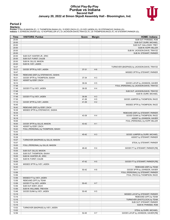## **Official Play-By-Play Purdue vs Indiana Second Half January 20, 2022 at Simon Skjodt Assembly Hall - Bloomington, Ind.**



## **Period 2**

<mark>Startersː</mark><br>Purdue: 0 GILLIS,MASON (F); 11 THOMPSON,ISAIAH (G); 15 EDEY,ZACH (C); 23 IVEY,JADEN (G); 55 STEFANOVIC,SASHA (G);<br>Indiana: 0 JOHNSON,XAVIER (G); 12 KOPP,MILLER (F); 23 JACKSON-DAVIS,TRAYCE (F); 25 THOMPSON,RACE

| Time           | <b>VISITORS: Purdue</b>                               | <b>Score</b> | <b>Margin</b>  | <b>HOME: Indiana</b>                                             |
|----------------|-------------------------------------------------------|--------------|----------------|------------------------------------------------------------------|
| 20:00          |                                                       |              |                | SUB OUT: PHINISEE, ROB                                           |
| 20:00          |                                                       |              |                | SUB OUT: DURR, MICHAEL                                           |
| 20:00          |                                                       |              |                | SUB OUT: GALLOWAY, TREY                                          |
| 20:00          |                                                       |              |                | SUB IN: KOPP, MILLER                                             |
| 20:00          |                                                       |              |                | SUB IN: JACKSON-DAVIS, TRAYCE                                    |
| 20:00          |                                                       |              |                | SUB IN: STEWART, PARKER                                          |
| 20:00          | SUB OUT: HUNTER JR., ERIC                             |              |                |                                                                  |
| 20:00          | SUB OUT: FURST, CALEB                                 |              |                |                                                                  |
| 20:00          | SUB IN: GILLIS, MASON                                 |              |                |                                                                  |
| 20:00<br>19:37 | SUB IN: IVEY, JADEN                                   |              |                |                                                                  |
| 19:12          | GOOD! 3PTR by IVEY, JADEN                             | 37-31        | H <sub>6</sub> | TURNOVER (BADPASS) by JACKSON-DAVIS, TRAYCE                      |
| 18:47          |                                                       |              |                | MISSED 3PTR by STEWART, PARKER                                   |
| 18:44          | REBOUND (DEF) by STEFANOVIC, SASHA                    |              |                |                                                                  |
| 18:31          | GOOD! 3PTR by THOMPSON, ISAIAH                        | 37-34        | $H_3$          |                                                                  |
| 18:31          | ASSIST by EDEY, ZACH                                  |              |                |                                                                  |
| 18:10          |                                                       | 39-34        | H <sub>5</sub> | GOOD! LAYUP by JOHNSON, XAVIER                                   |
| 17:48          |                                                       |              |                | FOUL (PERSONAL) by JACKSON-DAVIS, TRAYCE                         |
| 17:48          | GOOD! FT by IVEY, JADEN                               | 39-35        | H4             |                                                                  |
| 17:48          |                                                       |              |                | SUB OUT: JACKSON-DAVIS, TRAYCE                                   |
| 17:48          |                                                       |              |                | SUB IN: DURR, MICHAEL                                            |
| 17:48          | GOOD! FT by IVEY, JADEN                               | 39-36        | $H_3$          |                                                                  |
| 17:30          |                                                       | 41-36        | H <sub>5</sub> | GOOD! JUMPER by THOMPSON, RACE                                   |
| 17:12          | GOOD! 3PTR by IVEY, JADEN                             | 41-39        | H <sub>2</sub> |                                                                  |
| 16:45          |                                                       |              |                | MISSED 3PTR by THOMPSON, RACE                                    |
| 16:42          | REBOUND (DEF) by EDEY, ZACH                           |              |                |                                                                  |
| 16:38          | MISSED 3PTR by STEFANOVIC, SASHA                      |              |                |                                                                  |
| 16:34<br>16:18 |                                                       | 43-39        | H4             | REBOUND (DEF) by STEWART, PARKER<br>GOOD! DUNK by THOMPSON, RACE |
| 16:18          |                                                       |              |                | ASSIST by JOHNSON, XAVIER                                        |
| 16:06          |                                                       |              |                | FOUL (PERSONAL) by KOPP, MILLER                                  |
| 16:00          | GOOD! 3PTR by GILLIS, MASON                           | 43-42        | H <sub>1</sub> |                                                                  |
| 16:00          | ASSIST by EDEY, ZACH                                  |              |                |                                                                  |
| 15:43          | FOUL (PERSONAL) by THOMPSON, ISAIAH                   |              |                |                                                                  |
| 15:43          |                                                       |              |                |                                                                  |
| 15:38          |                                                       | 45-42        | $H_3$          | GOOD! JUMPER by DURR, MICHAEL                                    |
| 15:38          |                                                       |              |                | ASSIST by STEWART, PARKER                                        |
| 15:07          | TURNOVER (BADPASS) by GILLIS, MASON                   |              |                |                                                                  |
| 15:07          |                                                       |              |                | STEAL by STEWART, PARKER                                         |
| 15:05          | FOUL (PERSONAL) by GILLIS, MASON                      |              |                |                                                                  |
| 15:05          |                                                       | 46-42        | H 4            | GOOD! FT by STEWART, PARKER [FB]                                 |
| 15:05          | SUB OUT: GILLIS, MASON                                |              |                |                                                                  |
| 15:05          | SUB OUT: THOMPSON, ISAIAH<br>SUB IN: HUNTER JR., ERIC |              |                |                                                                  |
| 15:05<br>15:05 | SUB IN: FURST, CALEB                                  |              |                |                                                                  |
| 15:05          |                                                       | 47-42        | H <sub>5</sub> | GOOD! FT by STEWART, PARKER [FB]                                 |
| 14:45          | MISSED 3PTR by IVEY, JADEN                            |              |                |                                                                  |
| 14:43          |                                                       |              |                | REBOUND (DEF) by TEAM                                            |
| 14:11          |                                                       | 50-42        | H <sub>8</sub> | GOOD! 3PTR by JOHNSON, XAVIER                                    |
| 13:56          |                                                       |              |                | FOUL (PERSONAL) by STEWART, PARKER                               |
| 13:56          |                                                       |              |                | FOUL (TECH) by THOMPSON, RACE                                    |
| 13:56          | MISSED FT by IVEY, JADEN                              |              |                |                                                                  |
| 13:56          | REBOUND (OFF) by TEAM                                 |              |                |                                                                  |
| 13:56          | GOOD! FT by IVEY, JADEN                               | 50-43        | H 7            |                                                                  |
| 13:56          | SUB OUT: EDEY, ZACH                                   |              |                |                                                                  |
| 13:56          | SUB IN: WILLIAMS, TREVION                             |              |                |                                                                  |
| 13:48          | GOOD! DUNK by IVEY, JADEN                             | 50-45        | H <sub>5</sub> |                                                                  |
| 13:19          |                                                       |              |                | MISSED LAYUP by STEWART, PARKER                                  |
| 13:16          |                                                       |              |                | REBOUND (OFF) by TEAM                                            |
| 13:16          |                                                       |              |                | TURNOVER (SHOTCLOCK) by TEAM                                     |
| 13:16<br>13:16 |                                                       |              |                | SUB OUT: STEWART, PARKER<br>SUB IN: PHINISEE, ROB                |
| 13:02          | TURNOVER (BADPASS) by IVEY, JADEN                     |              |                |                                                                  |
| 13:02          |                                                       |              |                | STEAL by DURR, MICHAEL                                           |
| 12:56          |                                                       | 52-45        | H 7            | GOOD! LAYUP by JOHNSON, XAVIER [FB]                              |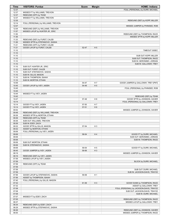| Time           | <b>VISITORS: Purdue</b>                                            | <b>Score</b> | <b>Margin</b>                    | <b>HOME: Indiana</b>                     |
|----------------|--------------------------------------------------------------------|--------------|----------------------------------|------------------------------------------|
| 12:37          |                                                                    |              |                                  | FOUL (PERSONAL) by DURR, MICHAEL         |
| 12:37          | MISSED FT by WILLIAMS, TREVION                                     |              |                                  |                                          |
| 12:37          | REBOUND (OFF) by TEAM                                              |              |                                  |                                          |
| 12:37          | MISSED FT by WILLIAMS, TREVION                                     |              |                                  |                                          |
| 12:35          |                                                                    |              |                                  | REBOUND (DEF) by KOPP, MILLER            |
| 12:14<br>12:07 | FOUL (PERSONAL) by WILLIAMS, TREVION                               |              |                                  | MISSED JUMPER by PHINISEE, ROB           |
| 12:04          | REBOUND (DEF) by WILLIAMS, TREVION                                 |              |                                  |                                          |
| 11:57          | MISSED LAYUP by HUNTER JR., ERIC                                   |              |                                  |                                          |
| 11:55          |                                                                    |              |                                  | REBOUND (DEF) by THOMPSON, RACE          |
| 11:36          |                                                                    |              |                                  | MISSED 3PTR by KOPP, MILLER              |
| 11:33          | REBOUND (DEF) by FURST, CALEB                                      |              |                                  |                                          |
| 11:26          | MISSED 3PTR by STEFANOVIC, SASHA                                   |              |                                  |                                          |
| 11:21          | REBOUND (OFF) by FURST, CALEB                                      |              |                                  |                                          |
| 11:21          | GOOD! LAYUP by FURST, CALEB                                        | 52-47        | H <sub>5</sub>                   |                                          |
| 11:10          |                                                                    |              |                                  | TIMEOUT 30SEC                            |
| 11:10<br>11:10 |                                                                    |              |                                  | SUB OUT: KOPP, MILLER                    |
| 11:10          |                                                                    |              |                                  | SUB OUT: THOMPSON, RACE                  |
| 11:10          |                                                                    |              |                                  | SUB IN: GERONIMO, JORDAN                 |
| 11:10          |                                                                    |              |                                  | SUB IN: GALLOWAY, TREY                   |
| 11:10          | SUB OUT: HUNTER JR., ERIC                                          |              |                                  |                                          |
| 11:10          | SUB OUT: FURST, CALEB                                              |              |                                  |                                          |
| 11:10          | SUB OUT: STEFANOVIC, SASHA                                         |              |                                  |                                          |
| 11:10          | SUB IN: GILLIS, MASON                                              |              |                                  |                                          |
| 11:10          | SUB IN: THOMPSON, ISAIAH                                           |              |                                  |                                          |
| 11:10          | SUB IN: MORTON, ETHAN                                              |              |                                  |                                          |
| 10:59<br>10:45 |                                                                    | 54-47        | H <sub>7</sub><br>H <sub>5</sub> | GOOD! JUMPER by GALLOWAY, TREY [PNT]     |
| 10:45          | GOOD! LAYUP by IVEY, JADEN                                         | 54-49        |                                  | FOUL (PERSONAL) by PHINISEE, ROB         |
| 10:45          |                                                                    |              |                                  |                                          |
| 10:44          | MISSED FT by IVEY, JADEN                                           |              |                                  |                                          |
| 10:42          |                                                                    |              |                                  | REBOUND (DEF) by TEAM                    |
| 10:27          |                                                                    | 57-49        | H <sub>8</sub>                   | GOOD! 3PTR by JOHNSON, XAVIER            |
| 10:14          |                                                                    |              |                                  | FOUL (PERSONAL) by GALLOWAY, TREY        |
| 10:14          | GOOD! FT by IVEY, JADEN                                            | 57-50        | H <sub>7</sub>                   |                                          |
| 10:14          | GOOD! FT by IVEY, JADEN                                            | $57 - 51$    | H <sub>6</sub>                   |                                          |
| 09:52          |                                                                    |              |                                  | MISSED JUMPER by JOHNSON, XAVIER         |
| 09:48<br>09:36 | REBOUND (DEF) by WILLIAMS, TREVION<br>MISSED 3PTR by MORTON, ETHAN |              |                                  |                                          |
| 09:36          | REBOUND (OFF) by TEAM                                              |              |                                  |                                          |
| 09:36          | SUB OUT: WILLIAMS, TREVION                                         |              |                                  |                                          |
| 09:36          | SUB IN: EDEY, ZACH                                                 |              |                                  |                                          |
| 09:32          | GOOD! 3PTR by GILLIS, MASON                                        | 57-54        | $H_3$                            |                                          |
| 09:32          | ASSIST by MORTON, ETHAN                                            |              |                                  |                                          |
| 09:06          | FOUL (PERSONAL) by IVEY, JADEN                                     |              |                                  |                                          |
| 09:06          |                                                                    | 58-54        | H4                               | GOOD! FT by DURR, MICHAEL                |
| 09:06          |                                                                    |              |                                  | SUB OUT: GERONIMO, JORDAN                |
| 09:06          |                                                                    |              |                                  | SUB IN: THOMPSON, RACE                   |
| 09:06<br>09:06 | SUB OUT: MORTON, ETHAN<br>SUB IN: STEFANOVIC, SASHA                |              |                                  |                                          |
| 09:06          |                                                                    | 59-54        | H <sub>5</sub>                   | GOOD! FT by DURR, MICHAEL                |
| 08:45          | GOOD! JUMPER by IVEY, JADEN                                        | 59-56        | H <sub>3</sub>                   |                                          |
| 08:19          |                                                                    |              |                                  | MISSED JUMPER by JOHNSON, XAVIER         |
| 08:16          | REBOUND (DEF) by IVEY, JADEN                                       |              |                                  |                                          |
| 07:59          | MISSED LAYUP by IVEY, JADEN                                        |              |                                  |                                          |
| 07:59          |                                                                    |              |                                  | BLOCK by DURR, MICHAEL                   |
| 07:59          | REBOUND (OFF) by TEAM                                              |              |                                  |                                          |
| 07:59          |                                                                    |              |                                  |                                          |
| 07:59          |                                                                    |              |                                  | SUB OUT: DURR, MICHAEL                   |
| 07:59<br>07:56 | GOOD! LAYUP by STEFANOVIC, SASHA                                   | 59-58        | H <sub>1</sub>                   | SUB IN: JACKSON-DAVIS, TRAYCE            |
| 07:56          | ASSIST by THOMPSON, ISAIAH                                         |              |                                  |                                          |
| 07:40          | FOUL (PERSONAL) by GILLIS, MASON                                   |              |                                  |                                          |
| 07:32          |                                                                    | 61-58        | H <sub>3</sub>                   | GOOD! DUNK by THOMPSON, RACE             |
| 07:32          |                                                                    |              |                                  | ASSIST by GALLOWAY, TREY                 |
| 07:08          |                                                                    |              |                                  | FOUL (PERSONAL) by JACKSON-DAVIS, TRAYCE |
| 07:08          |                                                                    |              |                                  | SUB OUT: JACKSON-DAVIS, TRAYCE           |
| 07:08          |                                                                    |              |                                  | SUB IN: DURR, MICHAEL                    |
| 07:07          | MISSED FT by EDEY, ZACH                                            |              |                                  |                                          |
| 07:05          |                                                                    |              |                                  | REBOUND (DEF) by THOMPSON, RACE          |
| 06:37<br>06:34 | REBOUND (DEF) by EDEY, ZACH                                        |              |                                  | MISSED LAYUP by GALLOWAY, TREY           |
| 06:29          | MISSED 3PTR by STEFANOVIC, SASHA                                   |              |                                  |                                          |
| 06:26          |                                                                    |              |                                  | REBOUND (DEF) by JOHNSON, XAVIER         |
| 06:00          |                                                                    |              |                                  | MISSED JUMPER by THOMPSON, RACE          |
|                |                                                                    |              |                                  |                                          |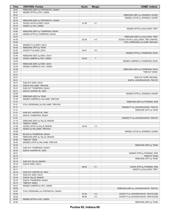| Time           | <b>VISITORS: Purdue</b>                         | <b>Score</b> | <b>Margin</b>  | <b>HOME: Indiana</b>                   |
|----------------|-------------------------------------------------|--------------|----------------|----------------------------------------|
| 05:57          | REBOUND (DEF) by STEFANOVIC, SASHA              |              |                |                                        |
| 05:47          | MISSED 3PTR by IVEY, JADEN                      |              |                |                                        |
| 05:41          |                                                 |              |                | REBOUND (DEF) by JOHNSON, XAVIER       |
| 05:27          |                                                 |              |                | MISSED LAYUP by JOHNSON, XAVIER        |
| 05:24          | REBOUND (DEF) by STEFANOVIC, SASHA              |              |                |                                        |
| 05:16          | GOOD! LAYUP by EDEY, ZACH                       | 61-60        | H <sub>1</sub> |                                        |
| 05:16          | ASSIST by IVEY, JADEN                           |              |                |                                        |
| 04:53          |                                                 |              |                | MISSED 3PTR by GALLOWAY, TREY          |
| 04:50          | REBOUND (DEF) by THOMPSON, ISAIAH               |              |                |                                        |
| 04:45          | MISSED 3PTR by THOMPSON, ISAIAH                 |              |                |                                        |
| 04:41          |                                                 |              |                | REBOUND (DEF) by GALLOWAY, TREY        |
| 04:39          |                                                 | 63-60        | $H_3$          | GOOD! LAYUP by GALLOWAY, TREY [FB/PNT] |
| 04:20          |                                                 |              |                | FOUL (PERSONAL) by DURR, MICHAEL       |
| 04:20          | MISSED FT by EDEY, ZACH                         |              |                |                                        |
| 04:20          | REBOUND (OFF) by TEAM                           |              |                |                                        |
| 04:20          | GOOD! FT by EDEY, ZACH                          | 63-61        | H <sub>2</sub> |                                        |
| 03:49          |                                                 |              |                | MISSED 3PTR by THOMPSON, RACE          |
| 03:46          | REBOUND (DEF) by EDEY, ZACH                     |              |                |                                        |
| 03:36          | GOOD! JUMPER by IVEY, JADEN                     | 63-63        | $\mathsf T$    |                                        |
| 03:05          |                                                 |              |                | MISSED JUMPER by THOMPSON, RACE        |
| 03:01          | REBOUND (DEF) by EDEY, ZACH                     |              |                |                                        |
| 02:39          | MISSED JUMPER by IVEY, JADEN                    |              |                |                                        |
| 02:36          |                                                 |              |                | REBOUND (DEF) by THOMPSON, RACE        |
| 02:31          |                                                 |              |                | TIMEOUT 30SEC                          |
| 02:31          |                                                 |              |                |                                        |
| 02:31          |                                                 |              |                | SUB OUT: DURR, MICHAEL                 |
| 02:31          |                                                 |              |                | SUB IN: JACKSON-DAVIS, TRAYCE          |
| 02:31          | SUB OUT: EDEY, ZACH                             |              |                |                                        |
| 02:31          | SUB IN: WILLIAMS, TREVION                       |              |                |                                        |
| 02:31          | SUB OUT: THOMPSON, ISAIAH                       |              |                |                                        |
| 02:31          | SUB IN: HUNTER JR., ERIC                        |              |                |                                        |
| 02:08          |                                                 |              |                | MISSED 3PTR by JOHNSON, XAVIER         |
| 02:08          | REBOUND (DEF) by TEAM                           |              |                |                                        |
| 01:44          | MISSED JUMPER by WILLIAMS, TREVION              |              |                |                                        |
| 01:41          |                                                 |              |                | REBOUND (DEF) by PHINISEE, ROB         |
| 01:21          | FOUL (PERSONAL) by WILLIAMS, TREVION            |              |                |                                        |
| 01:21          |                                                 |              |                | MISSED FT by JACKSON-DAVIS, TRAYCE     |
| 01:21          |                                                 |              |                | REBOUND (OFF) by TEAM                  |
| 01:21          | SUB OUT: HUNTER JR., ERIC                       |              |                |                                        |
| 01:21          | SUB IN: THOMPSON, ISAIAH                        |              |                |                                        |
| 01:21          |                                                 |              |                | MISSED FT by JACKSON-DAVIS, TRAYCE     |
| 01:18<br>01:13 | REBOUND (DEF) by GILLIS, MASON<br>TIMEOUT 30SEC |              |                |                                        |
| 01:08          | GOOD! LAYUP by GILLIS, MASON                    | 63-65        | V <sub>2</sub> |                                        |
| 01:08          | ASSIST by WILLIAMS, TREVION                     |              |                |                                        |
| 00:59          |                                                 |              |                | MISSED LAYUP by JOHNSON, XAVIER        |
| 00:59          | BLOCK by THOMPSON, ISAIAH                       |              |                |                                        |
| 00:55          | REBOUND (DEF) by GILLIS, MASON                  |              |                |                                        |
| 00:50          | <b>TIMEOUT TEAM</b>                             |              |                |                                        |
| 00:35          | MISSED LAYUP by WILLIAMS, TREVION               |              |                |                                        |
| 00:33          |                                                 |              |                | REBOUND (DEF) by TEAM                  |
| 00:33          | SUB OUT: THOMPSON, ISAIAH                       |              |                |                                        |
| 00:33          | SUB IN: HUNTER JR., ERIC                        |              |                |                                        |
| 00:21          |                                                 |              |                | MISSED 3PTR by PHINISEE, ROB           |
| 00:19          |                                                 |              |                | <b>TIMEOUT TEAM</b>                    |
| 00:18          |                                                 |              |                | REBOUND (OFF) by TEAM                  |
| 00:18          | SUB OUT: GILLIS, MASON                          |              |                |                                        |
| 00:18          | SUB IN: EDEY, ZACH                              |              |                |                                        |
| 00:17          |                                                 | 66-65        | H <sub>1</sub> | GOOD! 3PTR by PHINISEE, ROB            |
| 00:17          |                                                 |              |                | ASSIST by GALLOWAY, TREY               |
| 00:16          | SUB OUT: HUNTER JR., ERIC                       |              |                |                                        |
| 00:16          | SUB OUT: EDEY, ZACH                             |              |                |                                        |
| 00:16          | SUB IN: GILLIS, MASON                           |              |                |                                        |
| 00:16          | SUB IN: THOMPSON, ISAIAH                        |              |                |                                        |
| 00:12          | TIMEOUT 30SEC                                   |              |                |                                        |
| 00:07          | MISSED JUMPER by IVEY, JADEN                    |              |                |                                        |
| 00:05          |                                                 |              |                | REBOUND (DEF) by JACKSON-DAVIS, TRAYCE |
| 00:05          | FOUL (PERSONAL) by STEFANOVIC, SASHA            |              |                |                                        |
| 00:05          |                                                 | 67-65        | H <sub>2</sub> | GOOD! FT by JACKSON-DAVIS, TRAYCE [FB] |
| 00:05          |                                                 | 68-65        | $H_3$          | GOOD! FT by JACKSON-DAVIS, TRAYCE [FB] |
| 00:00          | MISSED 3PTR by IVEY, JADEN                      |              |                |                                        |
| 00:00          |                                                 |              |                | REBOUND (DEF) by TEAM                  |
|                |                                                 |              |                |                                        |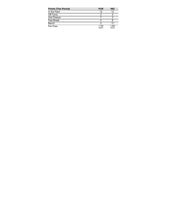| <b>Points (This Period)</b> | <b>PUR</b>     | <b>IND</b>     |
|-----------------------------|----------------|----------------|
| In the Paint                | 12             | 12             |
| Off Turns                   |                |                |
| 2nd Chance                  |                |                |
| <b>Fast Break</b>           |                |                |
| Bench                       |                |                |
| Per Poss                    | 1.194<br>16/31 | 1.000<br>14/31 |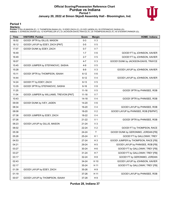# **Official Scoring/Possession Reference Chart Purdue vs Indiana Period 1 January 20, 2022 at Simon Skjodt Assembly Hall - Bloomington, Ind.**



# **Period 1**

<mark>Startersː</mark><br>Purdue: 0 GILLIS,MASON (F); 11 THOMPSON,ISAIAH (G); 15 EDEY,ZACH (C); 23 IVEY,JADEN (G); 55 STEFANOVIC,SASHA (G);<br>Indiana: 0 JOHNSON,XAVIER (G); 12 KOPP,MILLER (F); 23 JACKSON-DAVIS,TRAYCE (F); 25 THOMPSON,RACE

| <b>Time</b> | <b>VISITORS: Purdue</b>                 | <b>Score</b> | <b>Margin</b>  | <b>HOME: Indiana</b>                  |
|-------------|-----------------------------------------|--------------|----------------|---------------------------------------|
| 18:52       | GOOD! 3PTR by GILLIS, MASON             | $0 - 3$      | $V_3$          |                                       |
| 18:12       | GOOD! LAYUP by EDEY, ZACH [PNT]         | $0-5$        | V <sub>5</sub> |                                       |
| 17:07       | GOOD! DUNK by EDEY, ZACH                | $0-7$        | V <sub>7</sub> |                                       |
| 16:49       |                                         | $1 - 7$      | $V_6$          | GOOD! FT by JOHNSON, XAVIER           |
| 16:49       |                                         | $2 - 7$      | V <sub>5</sub> | GOOD! FT by JOHNSON, XAVIER           |
| 16:07       |                                         | 4-7          | $V_3$          | GOOD! DUNK by JACKSON-DAVIS, TRAYCE   |
| 15:45       | GOOD! JUMPER by STEFANOVIC, SASHA       | 4-9          | V <sub>5</sub> |                                       |
| 15:28       |                                         | $6-9$        | $V_3$          | GOOD! LAYUP by JOHNSON, XAVIER        |
| 15:11       | GOOD! 3PTR by THOMPSON, ISAIAH          | $6 - 12$     | $V_6$          |                                       |
| 14:44       |                                         | $8 - 12$     | V <sub>4</sub> | GOOD! LAYUP by JOHNSON, XAVIER        |
| 14:24       | GOOD! FT by EDEY, ZACH                  | $8 - 13$     | V <sub>5</sub> |                                       |
| 13:35       | GOOD! 3PTR by STEFANOVIC, SASHA         | $8 - 16$     | V8             |                                       |
| 11:25       |                                         | $11 - 16$    | V <sub>5</sub> | GOOD! 3PTR by PHINISEE, ROB           |
| 11:04       | GOOD! JUMPER by WILLIAMS, TREVION [PNT] | $11 - 18$    | V 7            |                                       |
| 10:43       |                                         | 14-18        | V <sub>4</sub> | GOOD! 3PTR by PHINISEE, ROB           |
| 09:09       | GOOD! DUNK by IVEY, JADEN               | 14-20        | $V_6$          |                                       |
| 08:34       |                                         | 16-20        | V <sub>4</sub> | GOOD! LAYUP by PHINISEE, ROB          |
| 08:08       |                                         | 18-20        | V <sub>2</sub> | GOOD! LAYUP by PHINISEE, ROB [FB/PNT] |
| 07:38       | GOOD! JUMPER by EDEY, ZACH              | 18-22        | V <sub>4</sub> |                                       |
| 07:26       |                                         | 21-22        | V <sub>1</sub> | GOOD! 3PTR by PHINISEE, ROB           |
| 06:23       | GOOD! LAYUP by GILLIS, MASON            | 21-24        | $V_3$          |                                       |
| 06:02       |                                         | 22-24        | V <sub>2</sub> | GOOD! FT by THOMPSON, RACE            |
| 05:38       |                                         | 24-24        | $\mathsf{T}$   | GOOD! DUNK by GERONIMO, JORDAN [FB]   |
| 05:26       |                                         | 25-24        | H 1            | GOOD! FT by GALLOWAY, TREY            |
| 04:53       |                                         | 27-24        | $H_3$          | GOOD! JUMPER by THOMPSON, RACE [FB]   |
| 04:21       |                                         | 29-24        | H 5            | GOOD! LAYUP by PHINISEE, ROB [FB]     |
| 03:27       |                                         | 30-24        | H <sub>6</sub> | GOOD! FT by GALLOWAY, TREY [FB]       |
| 03:27       |                                         | $31 - 24$    | H 7            | GOOD! FT by GALLOWAY, TREY [FB]       |
| 03:17       |                                         | 32-24        | H <sub>8</sub> | GOOD! FT by GERONIMO, JORDAN          |
| 02:43       |                                         | 34-24        | H 10           | GOOD! LAYUP by JOHNSON, XAVIER        |
| 02:17       |                                         | 35-24        | H 11           | GOOD! FT by GALLOWAY, TREY [FB]       |
| 01:39       | GOOD! LAYUP by EDEY, ZACH               | 35-26        | H 9            |                                       |
| 01:19       |                                         | 37-26        | H 11           | GOOD! LAYUP by PHINISEE, ROB          |
| 00:07       | GOOD! LAYUP by THOMPSON, ISAIAH         | 37-28        | H 9            |                                       |

**Purdue 28, Indiana 37**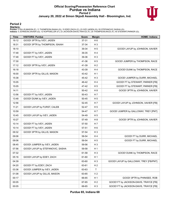# **Official Scoring/Possession Reference Chart Purdue vs Indiana Period 2 January 20, 2022 at Simon Skjodt Assembly Hall - Bloomington, Ind.**



## **Period 2**

#### **Starters:**

Purdue: 0 GILLIS,MASON (F); 11 THOMPSON,ISAIAH (G); 15 EDEY,ZACH (C); 23 IVEY,JADEN (G); 55 STEFANOVIC,SASHA (G);<br>Indiana: 0 JOHNSON,XAVIER (G); 12 KOPP,MILLER (F); 23 JACKSON-DAVIS,TRAYCE (F); 25 THOMPSON,RACE (F); 45 STE

| <b>Time</b> | <b>VISITORS: Purdue</b>          | <b>Score</b> | <b>Margin</b>  | <b>HOME: Indiana</b>                   |
|-------------|----------------------------------|--------------|----------------|----------------------------------------|
| 19:12       | GOOD! 3PTR by IVEY, JADEN        | 37-31        | H <sub>6</sub> |                                        |
| 18:31       | GOOD! 3PTR by THOMPSON, ISAIAH   | 37-34        | H <sub>3</sub> |                                        |
| 18:10       |                                  | 39-34        | H <sub>5</sub> | GOOD! LAYUP by JOHNSON, XAVIER         |
| 17:48       | GOOD! FT by IVEY, JADEN          | 39-35        | H4             |                                        |
| 17:48       | GOOD! FT by IVEY, JADEN          | 39-36        | $H_3$          |                                        |
| 17:30       |                                  | 41-36        | H <sub>5</sub> | GOOD! JUMPER by THOMPSON, RACE         |
| 17:12       | GOOD! 3PTR by IVEY, JADEN        | 41-39        | H <sub>2</sub> |                                        |
| 16:18       |                                  | 43-39        | H4             | GOOD! DUNK by THOMPSON, RACE           |
| 16:00       | GOOD! 3PTR by GILLIS, MASON      | 43-42        | H <sub>1</sub> |                                        |
| 15:38       |                                  | 45-42        | $H_3$          | GOOD! JUMPER by DURR, MICHAEL          |
| 15:05       |                                  | 46-42        | H4             | GOOD! FT by STEWART, PARKER [FB]       |
| 15:05       |                                  | 47-42        | H <sub>5</sub> | GOOD! FT by STEWART, PARKER [FB]       |
| 14:11       |                                  | 50-42        | H <sub>8</sub> | GOOD! 3PTR by JOHNSON, XAVIER          |
| 13:56       | GOOD! FT by IVEY, JADEN          | 50-43        | H 7            |                                        |
| 13:48       | GOOD! DUNK by IVEY, JADEN        | 50-45        | H <sub>5</sub> |                                        |
| 12:56       |                                  | 52-45        | H 7            | GOOD! LAYUP by JOHNSON, XAVIER [FB]    |
| 11:21       | GOOD! LAYUP by FURST, CALEB      | 52-47        | H <sub>5</sub> |                                        |
| 10:59       |                                  | 54-47        | H 7            | GOOD! JUMPER by GALLOWAY, TREY [PNT]   |
| 10:45       | GOOD! LAYUP by IVEY, JADEN       | 54-49        | H <sub>5</sub> |                                        |
| 10:27       |                                  | 57-49        | H <sub>8</sub> | GOOD! 3PTR by JOHNSON, XAVIER          |
| 10:14       | GOOD! FT by IVEY, JADEN          | 57-50        | H 7            |                                        |
| 10:14       | GOOD! FT by IVEY, JADEN          | 57-51        | H <sub>6</sub> |                                        |
| 09:32       | GOOD! 3PTR by GILLIS, MASON      | 57-54        | $H_3$          |                                        |
| 09:06       |                                  | 58-54        | H4             | GOOD! FT by DURR, MICHAEL              |
| 09:06       |                                  | 59-54        | H <sub>5</sub> | GOOD! FT by DURR, MICHAEL              |
| 08:45       | GOOD! JUMPER by IVEY, JADEN      | 59-56        | $H_3$          |                                        |
| 07:56       | GOOD! LAYUP by STEFANOVIC, SASHA | 59-58        | H <sub>1</sub> |                                        |
| 07:32       |                                  | 61-58        | $H_3$          | GOOD! DUNK by THOMPSON, RACE           |
| 05:16       | GOOD! LAYUP by EDEY, ZACH        | 61-60        | H <sub>1</sub> |                                        |
| 04:39       |                                  | 63-60        | $H_3$          | GOOD! LAYUP by GALLOWAY, TREY [FB/PNT] |
| 04:20       | GOOD! FT by EDEY, ZACH           | 63-61        | H <sub>2</sub> |                                        |
| 03:36       | GOOD! JUMPER by IVEY, JADEN      | 63-63        | T.             |                                        |
| 01:08       | GOOD! LAYUP by GILLIS, MASON     | 63-65        | V <sub>2</sub> |                                        |
| 00:17       |                                  | 66-65        | H <sub>1</sub> | GOOD! 3PTR by PHINISEE, ROB            |
| 00:05       |                                  | 67-65        | H <sub>2</sub> | GOOD! FT by JACKSON-DAVIS, TRAYCE [FB] |
| 00:05       |                                  | 68-65        | H <sub>3</sub> | GOOD! FT by JACKSON-DAVIS, TRAYCE [FB] |

**Purdue 65, Indiana 68**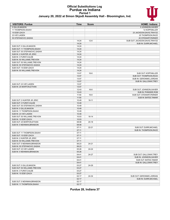#### **Official Substitutions Log Purdue vs Indiana Period 1 January 20, 2022 at Simon Skjodt Assembly Hall - Bloomington, Ind.**



| January 20, 2022 at Simon Skjodt Assembly Hall - Bloomington, Ind. |
|--------------------------------------------------------------------|
|                                                                    |

| <b>VISITORS: Purdue</b>       | Time  | <b>Score</b> | <b>HOME: Indiana</b>           |
|-------------------------------|-------|--------------|--------------------------------|
| 0 GILLIS, MASON               |       |              | 0 JOHNSON, XAVIER              |
| 11 THOMPSON, ISAIAH           |       |              | 12 KOPP, MILLER                |
| 15 EDEY, ZACH                 |       |              | 23 JACKSON-DAVIS, TRAYCE       |
| 23 IVEY, JADEN                |       |              | 25 THOMPSON, RACE              |
| 55 STEFANOVIC, SASHA          |       |              | 45 STEWART, PARKER             |
|                               | 14:24 | $12 - 8$     | SUB OUT: JACKSON-DAVIS, TRAYCE |
|                               | 14:24 |              | SUB IN: DURR, MICHAEL          |
| SUB OUT: 0 GILLIS, MASON      | 14:24 |              |                                |
| SUB OUT: 11 THOMPSON, ISAIAH  | 14:24 |              |                                |
| SUB OUT: 55 STEFANOVIC, SASHA | 14:24 |              |                                |
| SUB IN: 2 HUNTER JR., ERIC    | 14:24 |              |                                |
| SUB IN: 3 FURST, CALEB        | 14:24 |              |                                |
| SUB IN: 50 WILLIAMS, TREVION  | 14:24 |              |                                |
| SUB OUT: 50 WILLIAMS, TREVION | 14:24 |              |                                |
| SUB IN: 55 STEFANOVIC, SASHA  | 14:24 |              |                                |
| SUB OUT: 15 EDEY, ZACH        | 14:24 |              |                                |
| SUB IN: 50 WILLIAMS, TREVION  | 14:24 |              |                                |
|                               | 13:07 | $16 - 8$     | SUB OUT: KOPP, MILLER          |
|                               | 13:07 |              | SUB OUT: THOMPSON, RACE        |
|                               | 13:07 |              | SUB IN: GERONIMO, JORDAN       |
|                               | 13:07 |              |                                |
| SUB OUT: 23 IVEY, JADEN       | 13:07 |              | SUB IN: GALLOWAY, TREY         |
|                               |       |              |                                |
| SUB IN: 25 MORTON, ETHAN      | 13:07 |              |                                |
|                               | 12:43 | $16 - 8$     | SUB OUT: JOHNSON, XAVIER       |
|                               | 12:43 |              | SUB IN: PHINISEE, ROB          |
|                               | 11:50 | $16 - 8$     | SUB OUT: STEWART, PARKER       |
|                               | 11:50 |              | SUB IN: BATES, TAMAR           |
| SUB OUT: 2 HUNTER JR. ERIC    | 10:49 | $18 - 11$    |                                |
| SUB OUT: 3 FURST CALEB        | 10:49 |              |                                |
| SUB OUT: 55 STEFANOVIC, SASHA | 10:49 |              |                                |
| SUB IN: 0 GILLIS, MASON       | 10:49 |              |                                |
| SUB IN: 11 THOMPSON, ISAIAH   | 10:49 |              |                                |
| SUB IN: 23 IVEY, JADEN        | 10:49 |              |                                |
| SUB OUT: 50 WILLIAMS, TREVION | 10:03 | 18-14        |                                |
| SUB IN: 15 EDEY, ZACH         | 10:03 |              |                                |
| SUB OUT: 25 MORTON, ETHAN     | 08:08 | $20 - 18$    |                                |
| SUB IN: 5 NEWMAN, BRANDON     | 08:08 |              |                                |
|                               | 07:11 | $22 - 21$    | SUB OUT: DURR, MICHAEL         |
|                               | 07:11 |              | SUB IN: THOMPSON, RACE         |
| SUB OUT: 11 THOMPSON, ISAIAH  | 07:11 |              |                                |
| SUB OUT: 15 EDEY, ZACH        | 07:11 |              |                                |
| SUB IN: 2 HUNTER JR., ERIC    | 07:11 |              |                                |
| SUB IN: 50 WILLIAMS, TREVION  | 07:11 |              |                                |
| SUB OUT: 5 NEWMAN, BRANDON    | 06:23 | $24 - 21$    |                                |
| SUB IN: 55 STEFANOVIC, SASHA  | 06:23 |              |                                |
| SUB OUT: 23 IVEY, JADEN       | 05:26 | 24-24        |                                |
| SUB IN: 5 NEWMAN, BRANDON     | 05:26 |              |                                |
|                               | 04:41 | 24-27        | SUB OUT: GALLOWAY, TREY        |
|                               | 04:41 |              | SUB IN: JOHNSON, XAVIER        |
|                               | 04:41 |              | SUB OUT: BATES, TAMAR          |
|                               | 04:41 |              | SUB IN: GALLOWAY, TREY         |
| SUB OUT: 0 GILLIS, MASON      | 03:27 | 24-29        |                                |
| SUB OUT: 50 WILLIAMS, TREVION | 03:27 |              |                                |
| SUB IN: 3 FURST, CALEB        | 03:27 |              |                                |
| SUB IN: 15 EDEY, ZACH         | 03:27 |              |                                |
|                               | 02:17 | 24-34        | SUB OUT: GERONIMO, JORDAN      |
|                               | 02:17 |              | SUB IN: DURR, MICHAEL          |
| SUB OUT: 5 NEWMAN, BRANDON    | 02:17 |              |                                |
| SUB IN: 11 THOMPSON, ISAIAH   | 02:17 |              |                                |
|                               |       |              |                                |

**Purdue 28, Indiana 37**